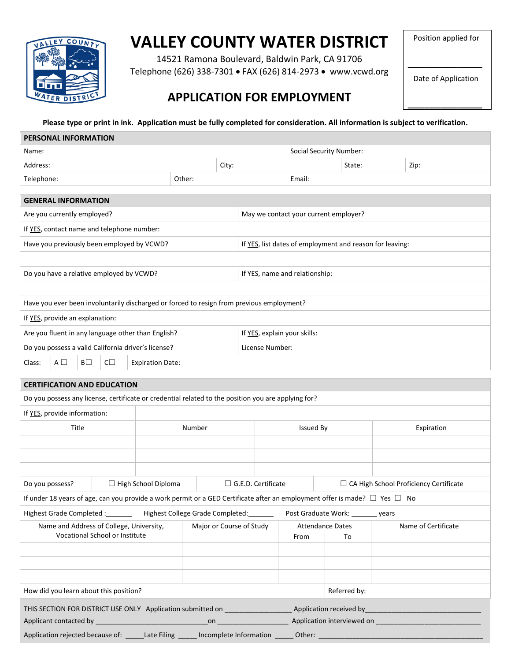

# **VALLEY COUNTY WATER DISTRICT**

14521 Ramona Boulevard, Baldwin Park, CA 91706 Telephone (626) 338-7301 FAX (626) 814-2973 www.vcwd.org Position applied for

 $\frac{1}{2}$  ,  $\frac{1}{2}$  ,  $\frac{1}{2}$  ,  $\frac{1}{2}$  ,  $\frac{1}{2}$  ,  $\frac{1}{2}$  ,  $\frac{1}{2}$  ,  $\frac{1}{2}$  ,  $\frac{1}{2}$  ,  $\frac{1}{2}$ Date of Application

 $\mathcal{L}$  , we have the set of  $\mathcal{L}$ 

## **APPLICATION FOR EMPLOYMENT**

**Please type or print in ink. Application must be fully completed for consideration. All information is subject to verification.**

| PERSONAL INFORMATION                                                                                                                                                                                                                                                                     |                                                     |                                  |        |       |                                                          |                  |                                       |         |                                          |
|------------------------------------------------------------------------------------------------------------------------------------------------------------------------------------------------------------------------------------------------------------------------------------------|-----------------------------------------------------|----------------------------------|--------|-------|----------------------------------------------------------|------------------|---------------------------------------|---------|------------------------------------------|
| Name:                                                                                                                                                                                                                                                                                    |                                                     |                                  |        |       | <b>Social Security Number:</b>                           |                  |                                       |         |                                          |
| Address:                                                                                                                                                                                                                                                                                 |                                                     |                                  |        | City: |                                                          |                  | State:                                |         | Zip:                                     |
| Telephone:                                                                                                                                                                                                                                                                               |                                                     |                                  | Other: |       |                                                          | Email:           |                                       |         |                                          |
|                                                                                                                                                                                                                                                                                          |                                                     |                                  |        |       |                                                          |                  |                                       |         |                                          |
| <b>GENERAL INFORMATION</b>                                                                                                                                                                                                                                                               |                                                     |                                  |        |       |                                                          |                  |                                       |         |                                          |
| Are you currently employed?                                                                                                                                                                                                                                                              |                                                     |                                  |        |       |                                                          |                  | May we contact your current employer? |         |                                          |
|                                                                                                                                                                                                                                                                                          | If YES, contact name and telephone number:          |                                  |        |       |                                                          |                  |                                       |         |                                          |
|                                                                                                                                                                                                                                                                                          | Have you previously been employed by VCWD?          |                                  |        |       | If YES, list dates of employment and reason for leaving: |                  |                                       |         |                                          |
|                                                                                                                                                                                                                                                                                          |                                                     |                                  |        |       |                                                          |                  |                                       |         |                                          |
| Do you have a relative employed by VCWD?                                                                                                                                                                                                                                                 |                                                     |                                  |        |       | If YES, name and relationship:                           |                  |                                       |         |                                          |
|                                                                                                                                                                                                                                                                                          |                                                     |                                  |        |       |                                                          |                  |                                       |         |                                          |
| Have you ever been involuntarily discharged or forced to resign from previous employment?                                                                                                                                                                                                |                                                     |                                  |        |       |                                                          |                  |                                       |         |                                          |
| If YES, provide an explanation:                                                                                                                                                                                                                                                          |                                                     |                                  |        |       |                                                          |                  |                                       |         |                                          |
| Are you fluent in any language other than English?                                                                                                                                                                                                                                       |                                                     |                                  |        |       | If YES, explain your skills:                             |                  |                                       |         |                                          |
|                                                                                                                                                                                                                                                                                          | Do you possess a valid California driver's license? |                                  |        |       | License Number:                                          |                  |                                       |         |                                          |
| Class:<br>$A \Box$<br>BΠ                                                                                                                                                                                                                                                                 | $C\square$                                          | <b>Expiration Date:</b>          |        |       |                                                          |                  |                                       |         |                                          |
|                                                                                                                                                                                                                                                                                          |                                                     |                                  |        |       |                                                          |                  |                                       |         |                                          |
| <b>CERTIFICATION AND EDUCATION</b>                                                                                                                                                                                                                                                       |                                                     |                                  |        |       |                                                          |                  |                                       |         |                                          |
| Do you possess any license, certificate or credential related to the position you are applying for?                                                                                                                                                                                      |                                                     |                                  |        |       |                                                          |                  |                                       |         |                                          |
| If YES, provide information:                                                                                                                                                                                                                                                             |                                                     |                                  |        |       |                                                          |                  |                                       |         |                                          |
| Title                                                                                                                                                                                                                                                                                    |                                                     |                                  | Number |       |                                                          | <b>Issued By</b> |                                       |         | Expiration                               |
|                                                                                                                                                                                                                                                                                          |                                                     |                                  |        |       |                                                          |                  |                                       |         |                                          |
|                                                                                                                                                                                                                                                                                          |                                                     |                                  |        |       |                                                          |                  |                                       |         |                                          |
|                                                                                                                                                                                                                                                                                          |                                                     |                                  |        |       |                                                          |                  |                                       |         |                                          |
| Do you possess?                                                                                                                                                                                                                                                                          |                                                     | □ High School Diploma            |        |       | $\Box$ G.E.D. Certificate                                |                  |                                       |         | □ CA High School Proficiency Certificate |
| If under 18 years of age, can you provide a work permit or a GED Certificate after an employment offer is made? $\Box$ Yes $\Box$ No                                                                                                                                                     |                                                     |                                  |        |       |                                                          |                  |                                       |         |                                          |
| Highest Grade Completed : _______                                                                                                                                                                                                                                                        |                                                     | Highest College Grade Completed: |        |       |                                                          |                  | Post Graduate Work: ______            | _ years |                                          |
| Name and Address of College, University,<br>Major or Course of Study<br>Vocational School or Institute                                                                                                                                                                                   |                                                     |                                  | From   |       | <b>Attendance Dates</b><br>To                            |                  | Name of Certificate                   |         |                                          |
|                                                                                                                                                                                                                                                                                          |                                                     |                                  |        |       |                                                          |                  |                                       |         |                                          |
|                                                                                                                                                                                                                                                                                          |                                                     |                                  |        |       |                                                          |                  |                                       |         |                                          |
|                                                                                                                                                                                                                                                                                          |                                                     |                                  |        |       |                                                          |                  |                                       |         |                                          |
| How did you learn about this position?                                                                                                                                                                                                                                                   |                                                     |                                  |        |       |                                                          |                  | Referred by:                          |         |                                          |
|                                                                                                                                                                                                                                                                                          |                                                     |                                  |        |       |                                                          |                  |                                       |         |                                          |
| THIS SECTION FOR DISTRICT USE ONLY Application submitted on _____________________ Application received by _____________________________<br>entity and the experimental contract on the explication interviewed on the contract of the experimental contract on<br>Applicant contacted by |                                                     |                                  |        |       |                                                          |                  |                                       |         |                                          |
| Application rejected because of: ______Late Filing ______ Incomplete Information ______ Other: _________                                                                                                                                                                                 |                                                     |                                  |        |       |                                                          |                  |                                       |         |                                          |
|                                                                                                                                                                                                                                                                                          |                                                     |                                  |        |       |                                                          |                  |                                       |         |                                          |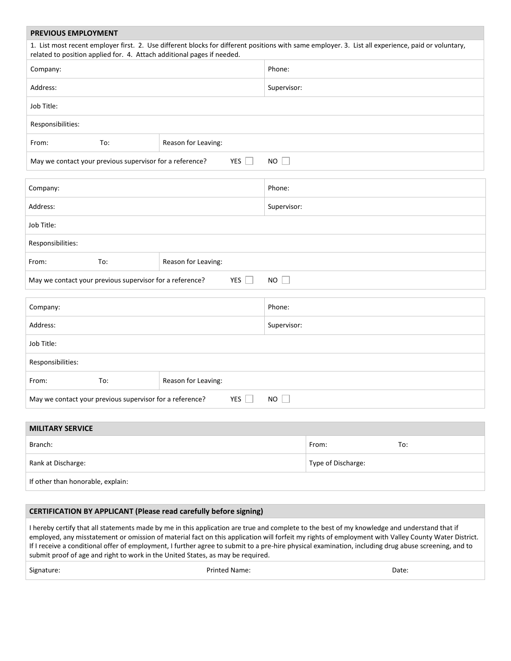### **PREVIOUS EMPLOYMENT**

| 1. List most recent employer first. 2. Use different blocks for different positions with same employer. 3. List all experience, paid or voluntary,<br>related to position applied for. 4. Attach additional pages if needed.<br>Phone:<br>Address:<br>Supervisor:<br>Responsibilities:<br>To:<br>Reason for Leaving:<br>From:<br>May we contact your previous supervisor for a reference?<br>$YES$    <br><b>NO</b><br>$\mathbb{R}^n$<br>Phone:<br>Supervisor:<br>Reason for Leaving:<br>To:<br>YES $\Box$<br>NO<br>May we contact your previous supervisor for a reference? | <b>PREVIOUS EIVIPLOYIVIEN I</b> |  |  |  |  |  |
|------------------------------------------------------------------------------------------------------------------------------------------------------------------------------------------------------------------------------------------------------------------------------------------------------------------------------------------------------------------------------------------------------------------------------------------------------------------------------------------------------------------------------------------------------------------------------|---------------------------------|--|--|--|--|--|
|                                                                                                                                                                                                                                                                                                                                                                                                                                                                                                                                                                              |                                 |  |  |  |  |  |
|                                                                                                                                                                                                                                                                                                                                                                                                                                                                                                                                                                              | Company:                        |  |  |  |  |  |
|                                                                                                                                                                                                                                                                                                                                                                                                                                                                                                                                                                              |                                 |  |  |  |  |  |
|                                                                                                                                                                                                                                                                                                                                                                                                                                                                                                                                                                              | Job Title:                      |  |  |  |  |  |
|                                                                                                                                                                                                                                                                                                                                                                                                                                                                                                                                                                              |                                 |  |  |  |  |  |
|                                                                                                                                                                                                                                                                                                                                                                                                                                                                                                                                                                              |                                 |  |  |  |  |  |
|                                                                                                                                                                                                                                                                                                                                                                                                                                                                                                                                                                              |                                 |  |  |  |  |  |
|                                                                                                                                                                                                                                                                                                                                                                                                                                                                                                                                                                              |                                 |  |  |  |  |  |
|                                                                                                                                                                                                                                                                                                                                                                                                                                                                                                                                                                              | Company:                        |  |  |  |  |  |
|                                                                                                                                                                                                                                                                                                                                                                                                                                                                                                                                                                              | Address:                        |  |  |  |  |  |
|                                                                                                                                                                                                                                                                                                                                                                                                                                                                                                                                                                              | Job Title:                      |  |  |  |  |  |
|                                                                                                                                                                                                                                                                                                                                                                                                                                                                                                                                                                              | Responsibilities:               |  |  |  |  |  |
|                                                                                                                                                                                                                                                                                                                                                                                                                                                                                                                                                                              | From:                           |  |  |  |  |  |
|                                                                                                                                                                                                                                                                                                                                                                                                                                                                                                                                                                              |                                 |  |  |  |  |  |
|                                                                                                                                                                                                                                                                                                                                                                                                                                                                                                                                                                              |                                 |  |  |  |  |  |

| Company:                                                 |     |                     | Phone:      |  |
|----------------------------------------------------------|-----|---------------------|-------------|--|
| Address:                                                 |     |                     | Supervisor: |  |
| Job Title:                                               |     |                     |             |  |
| Responsibilities:                                        |     |                     |             |  |
| From:                                                    | To: | Reason for Leaving: |             |  |
| May we contact your previous supervisor for a reference? |     | YES                 | NO.         |  |

| <b>MILITARY SERVICE</b>           |                    |     |
|-----------------------------------|--------------------|-----|
| Branch:                           | From:              | To: |
| Rank at Discharge:                | Type of Discharge: |     |
| If other than honorable, explain: |                    |     |

#### **CERTIFICATION BY APPLICANT (Please read carefully before signing)**

I hereby certify that all statements made by me in this application are true and complete to the best of my knowledge and understand that if employed, any misstatement or omission of material fact on this application will forfeit my rights of employment with Valley County Water District. If I receive a conditional offer of employment, I further agree to submit to a pre-hire physical examination, including drug abuse screening, and to submit proof of age and right to work in the United States, as may be required.

Signature: Date: Date: Printed Name: Printed Name: Date: Date: Date: Date: Date: Date: Date: Date: Date: Date: Date: Date: Date: Date: Date: Date: Date: Date: Date: Date: Date: Date: Date: Date: Date: Date: Date: Date: Dat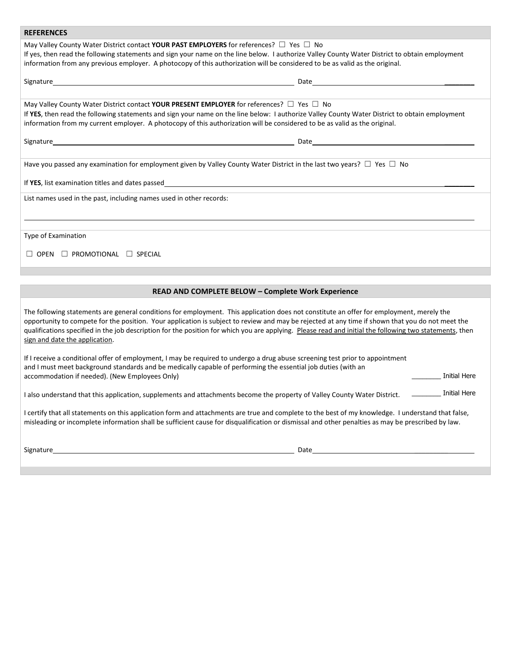#### **REFERENCES**

May Valley County Water District contact **YOUR PAST EMPLOYERS** for references? ☐ Yes ☐ No If yes, then read the following statements and sign your name on the line below. I authorize Valley County Water District to obtain employment information from any previous employer. A photocopy of this authorization will be considered to be as valid as the original.

| May Valley County Water District contact YOUR PRESENT EMPLOYER for references? $\square$ Yes $\square$ No                                      |
|------------------------------------------------------------------------------------------------------------------------------------------------|
| If YES, then read the following statements and sign your name on the line below: I authorize Valley County Water District to obtain employment |
| information from my current employer. A photocopy of this authorization will be considered to be as valid as the original.                     |

Signature Date \_\_\_\_\_\_\_\_

Have you passed any examination for employment given by Valley County Water District in the last two years?  $\Box$  Yes  $\Box$  No

Signature Date \_\_\_\_\_\_\_\_

If YES, list examination titles and dates passed **with a set of the set of the set of the set of the set of the set of the set of the set of the set of the set of the set of the set of the set of the set of the set of the** 

List names used in the past, including names used in other records:

Type of Examination

☐ OPEN ☐ PROMOTIONAL ☐ SPECIAL

#### **READ AND COMPLETE BELOW – Complete Work Experience**

The following statements are general conditions for employment. This application does not constitute an offer for employment, merely the opportunity to compete for the position. Your application is subject to review and may be rejected at any time if shown that you do not meet the qualifications specified in the job description for the position for which you are applying. Please read and initial the following two statements, then sign and date the application.

| If I receive a conditional offer of employment, I may be required to undergo a drug abuse screening test prior to appointment |              |
|-------------------------------------------------------------------------------------------------------------------------------|--------------|
| and I must meet background standards and be medically capable of performing the essential job duties (with an                 |              |
| accommodation if needed). (New Employees Only)                                                                                | Initial Here |
|                                                                                                                               |              |

I also understand that this application, supplements and attachments become the property of Valley County Water District. \_\_\_\_\_\_ \_\_\_\_\_\_\_\_ Initial Here

I certify that all statements on this application form and attachments are true and complete to the best of my knowledge. I understand that false, misleading or incomplete information shall be sufficient cause for disqualification or dismissal and other penalties as may be prescribed by law.

Signature Date \_\_\_\_\_\_\_\_\_